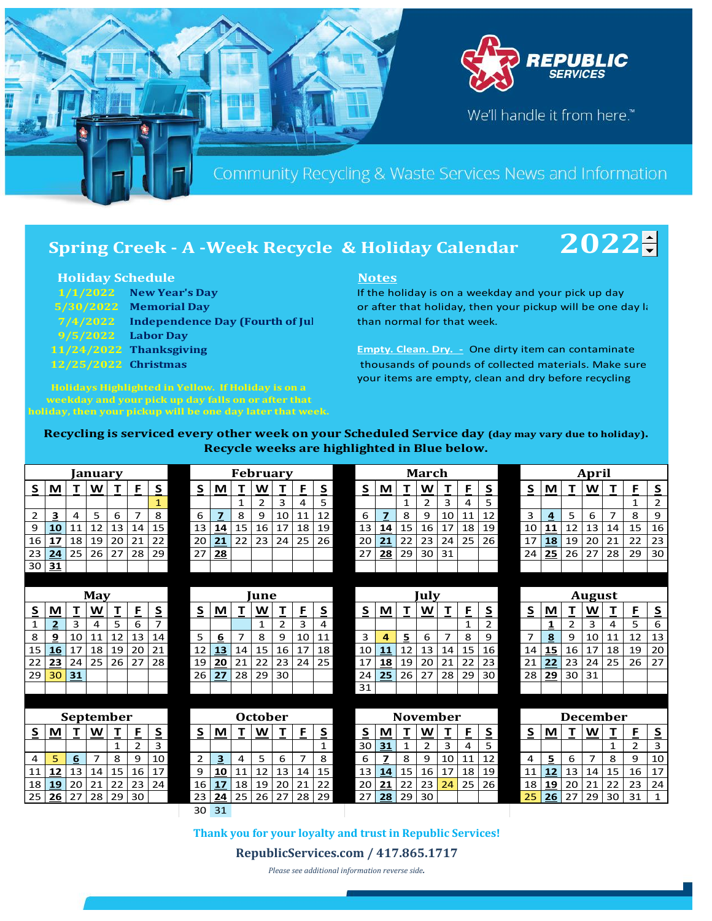

# **Spring Creek - A -Week Recycle & Holiday Calendar** 2022

## **Holiday Schedule Notes**

|                      | $1/1/2022$ New Year's Day                |  |  |  |  |  |  |  |  |  |  |  |  |
|----------------------|------------------------------------------|--|--|--|--|--|--|--|--|--|--|--|--|
|                      | 5/30/2022 Memorial Day                   |  |  |  |  |  |  |  |  |  |  |  |  |
|                      | 7/4/2022 Independence Day (Fourth of Jul |  |  |  |  |  |  |  |  |  |  |  |  |
| $9/5/2022$ Labor Day |                                          |  |  |  |  |  |  |  |  |  |  |  |  |
|                      | 11/24/2022 Thanksgiving                  |  |  |  |  |  |  |  |  |  |  |  |  |
| 12/25/2022 Christmas |                                          |  |  |  |  |  |  |  |  |  |  |  |  |

**Holidays Highlighted in Yellow. If Holiday is on a weekday and your pick up day falls on or after that holiday, then your pickup will be one day later that week.** 

If the holiday is on a weekday and your pick up day or after that holiday, then your pickup will be one day later than normal for that week.

**Empty. Clean. Dry. -** One dirty item can contaminate thousands of pounds of collected materials. Make sure your items are empty, clean and dry before recycling

### **Recycling is serviced every other week on your Scheduled Service day (day may vary due to holiday). Recycle weeks are highlighted in Blue below.**

|    |              |    | Januarv        |              |                 |                | <b>February</b> |                |                |                |                |                |                         |  |      | March           |              |                |                |              |                         |  |                 | April       |             |                |                |                |                          |  |  |
|----|--------------|----|----------------|--------------|-----------------|----------------|-----------------|----------------|----------------|----------------|----------------|----------------|-------------------------|--|------|-----------------|--------------|----------------|----------------|--------------|-------------------------|--|-----------------|-------------|-------------|----------------|----------------|----------------|--------------------------|--|--|
| S. | M            | т  | W              | т            | F               | S              | S               | M              | $\mathbf T$    | W              | т              | F              | $\overline{\mathbf{S}}$ |  | S    | M               |              | W              | т              | F            | $\overline{\mathbf{S}}$ |  | S               | M           | $\mathbf T$ | W              | т              | F              | $\overline{\mathbf{S}}$  |  |  |
|    |              |    |                |              |                 | $\mathbf{1}$   |                 |                | 1              | $\overline{2}$ | 3              | 4              | 5                       |  |      |                 | $\mathbf{1}$ | $\overline{2}$ | 3              | 4            | 5                       |  |                 |             |             |                |                | $\mathbf{1}$   | $\overline{2}$           |  |  |
| 2  | З            | 4  | 5              | 6            | $\overline{7}$  | 8              | 6               | $\overline{z}$ | 8              | 9              | 10             | 11             | 12                      |  | 6    | $\overline{7}$  | 8            | 9              | 10             | 11           | 12                      |  | 3               | 4           | 5           | 6              | $\overline{7}$ | 8              | 9                        |  |  |
| 9  | 10           | 11 | 12             | 13           | 14              | 15             | 13              | 14             | 15             | 16             | 17             | 18             | 19                      |  | 13   | 14              | 15           | 16             | 17             | 18           | 19                      |  | 10              | 11          | 12          | 13             | 14             | 15             | 16                       |  |  |
| 16 | 17           | 18 | 19             | 20           | 21              | 22             | 20              | 21             | 22             | 23             | 24             | 25             | 26                      |  | 20   | 21              | 22           | 23             | 24             | 25           | 26                      |  | 17              | 18          | 19          | 20             | 21             | 22             | 23                       |  |  |
| 23 | 24           | 25 | 26             | 27           | $\overline{28}$ | 29             | 27              | 28             |                |                |                |                |                         |  | 27   | 28              | 29           | 30             | 31             |              |                         |  | 24              | 25          | 26          | 27             | 28             | 29             | $\overline{30}$          |  |  |
| 30 | 31           |    |                |              |                 |                |                 |                |                |                |                |                |                         |  |      |                 |              |                |                |              |                         |  |                 |             |             |                |                |                |                          |  |  |
|    |              |    |                |              |                 |                |                 |                |                |                |                |                |                         |  |      |                 |              |                |                |              |                         |  |                 |             |             |                |                |                |                          |  |  |
|    |              |    | May            |              |                 |                | <b>une</b>      |                |                |                |                |                |                         |  | Julv |                 |              |                |                |              |                         |  | <b>August</b>   |             |             |                |                |                |                          |  |  |
| S  | M            | т  | W              | T            | F               | S              | S               | M              | т              | W              | т              | E              | S                       |  | S    | M               | $\mathbf T$  | W              | т              | F            | S                       |  | S               | M           | T           | W              | т              | F.             | $\overline{\mathbf{S}}$  |  |  |
| 1  | $\mathbf{z}$ | 3  | 4              | 5            | 6               | $\overline{7}$ |                 |                |                | $\mathbf{1}$   | $\overline{2}$ | 3              | 4                       |  |      |                 |              |                |                | $\mathbf{1}$ | $\overline{2}$          |  |                 | $\mathbf 1$ | 2           | 3              | 4              | 5              | 6                        |  |  |
| 8  | 9            | 10 | 11             | 12           | 13              | 14             | 5               | 6              | $\overline{7}$ | 8              | 9              | 10             | 11                      |  | 3    | 4               | 5            | 6              | $\overline{7}$ | 8            | 9                       |  | $\overline{7}$  | 8           | 9           | 10             | 11             | 12             | 13                       |  |  |
| 15 | 16           | 17 | 18             | 19           | 20              | 21             | 12              | 13             | 14             | 15             | 16             | 17             | 18                      |  | 10   | 11              | 12           | 13             | 14             | 15           | 16                      |  | 14              | 15          | 16          | 17             | 18             | 19             | 20                       |  |  |
| 22 | 23           | 24 | 25             | 26           | 27              | 28             | 19              | 20             | 21             | 22             | 23             | 24             | 25                      |  | 17   | <b>18</b>       | 19           | 20             | 21             | 22           | 23                      |  | $\overline{21}$ | 22          | 23          | 24             | 25             | 26             | $\overline{27}$          |  |  |
| 29 | 30           | 31 |                |              |                 |                | 26              | 27             | 28             | 29             | 30             |                |                         |  | 24   | 25              | 26           | 27             | 28             | 29           | 30                      |  | 28              | 29          | 30          | 31             |                |                |                          |  |  |
|    |              |    |                |              |                 |                |                 |                |                |                |                |                |                         |  | 31   |                 |              |                |                |              |                         |  |                 |             |             |                |                |                |                          |  |  |
|    |              |    |                |              |                 |                |                 |                |                |                |                |                |                         |  |      |                 |              |                |                |              |                         |  |                 |             |             |                |                |                |                          |  |  |
|    |              |    |                | September    |                 |                | <b>October</b>  |                |                |                |                |                |                         |  |      | <b>November</b> |              |                |                |              |                         |  |                 | December    |             |                |                |                |                          |  |  |
| S  | M            | т  | W              | т            | F               | S              | $\mathsf{S}$    | M              | т              | W              | т              | F              | $\overline{\mathbf{S}}$ |  | S    | M               |              | W              | т              | F            | $\overline{\mathbf{S}}$ |  | $\mathsf{S}$    | M           | т           | W              | т              | F              | $\underline{\mathsf{S}}$ |  |  |
|    |              |    |                | $\mathbf{1}$ | $\overline{2}$  | 3              |                 |                |                |                |                |                | $\mathbf{1}$            |  | 30   | 31              | $\mathbf{1}$ | $\overline{2}$ | 3              | 4            | 5                       |  |                 |             |             |                | $\mathbf{1}$   | $\overline{2}$ | 3                        |  |  |
| 4  | 5            | 6  | $\overline{7}$ | 8            | 9               | 10             | $\overline{2}$  | 3              | 4              | 5              | 6              | $\overline{7}$ | 8                       |  | 6    | 7               | 8            | 9              | 10             | 11           | 12                      |  | $\overline{4}$  | 5           | 6           | $\overline{7}$ | 8              | 9              | 10                       |  |  |
| 11 | 12           | 13 | 14             | 15           | 16              | 17             | 9               | 10             | 11             | 12             | 13             | 14             | 15                      |  | 13   | 14              | 15           | 16             | 17             | 18           | 19                      |  | 11              | 12          | 13          | 14             | 15             | 16             | 17                       |  |  |
| 18 | 19           | 20 | 21             | 22           | 23              | 24             | 16              | 17             | 18             | 19             | 20             | 21             | 22                      |  | 20   | 21              | 22           | 23             | 24             | 25           | 26                      |  | $\overline{18}$ | 19          | 20          | 21             | 22             | 23             | $\overline{24}$          |  |  |
| 25 | 26           | 27 | 28             | 29           | 30              |                | 23              | 24             | 25             | 26             | 27             | 28             | 29                      |  | 27   | 28              | 29           | 30             |                |              |                         |  | 25              | 26          | 27          | 29             | 30             | 31             | $\mathbf{1}$             |  |  |
|    |              |    |                |              |                 |                | 30              | 31             |                |                |                |                |                         |  |      |                 |              |                |                |              |                         |  |                 |             |             |                |                |                |                          |  |  |
|    |              |    |                |              |                 |                | <b>COLL</b>     |                |                | <b>College</b> |                |                |                         |  |      |                 |              |                |                |              |                         |  |                 |             |             |                |                |                |                          |  |  |

**Thank you for your loyalty and trust in Republic Services!**

**RepublicServices.com / 417.865.1717**

*Please see additional information reverse side.*